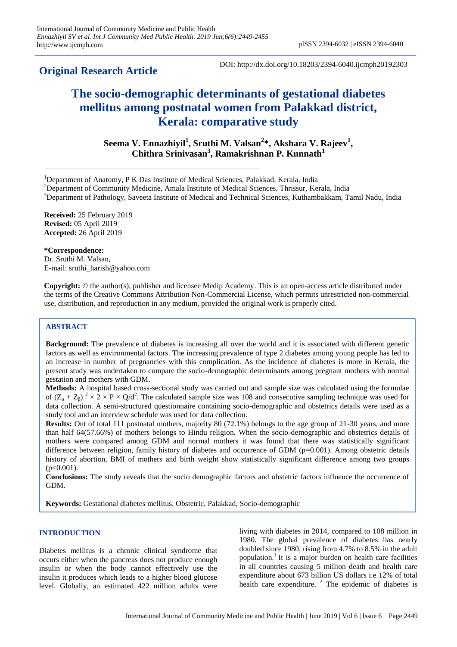# **Original Research Article**

DOI: http://dx.doi.org/10.18203/2394-6040.ijcmph20192303

# **The socio-demographic determinants of gestational diabetes mellitus among postnatal women from Palakkad district, Kerala: comparative study**

**Seema V. Ennazhiyil<sup>1</sup> , Sruthi M. Valsan<sup>2</sup> \*, Akshara V. Rajeev<sup>1</sup> , Chithra Srinivasan<sup>3</sup> , Ramakrishnan P. Kunnath<sup>1</sup>**

<sup>3</sup>Department of Pathology, Saveeta Institute of Medical and Technical Sciences, Kuthambakkam, Tamil Nadu, India

**Received:** 25 February 2019 **Revised:** 05 April 2019 **Accepted:** 26 April 2019

# **\*Correspondence:**

Dr. Sruthi M. Valsan, E-mail: sruthi\_harish@yahoo.com

**Copyright:** © the author(s), publisher and licensee Medip Academy. This is an open-access article distributed under the terms of the Creative Commons Attribution Non-Commercial License, which permits unrestricted non-commercial use, distribution, and reproduction in any medium, provided the original work is properly cited.

# **ABSTRACT**

**Background:** The prevalence of diabetes is increasing all over the world and it is associated with different genetic factors as well as environmental factors. The increasing prevalence of type 2 diabetes among young people has led to an increase in number of pregnancies with this complication. As the incidence of diabetes is more in Kerala, the present study was undertaken to compare the socio-demographic determinants among pregnant mothers with normal gestation and mothers with GDM.

**Methods:** A hospital based cross-sectional study was carried out and sample size was calculated using the formulae of  $(Z_\alpha + Z_\beta)^2 \times 2 \times P \times Q/d^2$ . The calculated sample size was 108 and consecutive sampling technique was used for data collection. A semi-structured questionnaire containing socio-demographic and obstetrics details were used as a study tool and an interview schedule was used for data collection.

**Results:** Out of total 111 postnatal mothers, majority 80 (72.1%) belongs to the age group of 21-30 years, and more than half 64(57.66%) of mothers belongs to Hindu religion. When the socio-demographic and obstetrics details of mothers were compared among GDM and normal mothers it was found that there was statistically significant difference between religion, family history of diabetes and occurrence of GDM ( $p=0.001$ ). Among obstetric details history of abortion, BMI of mothers and birth weight show statistically significant difference among two groups  $(p<0.001)$ .

**Conclusions:** The study reveals that the socio demographic factors and obstetric factors influence the occurrence of GDM.

**Keywords:** Gestational diabetes mellitus, Obstetric, Palakkad, Socio-demographic

# **INTRODUCTION**

Diabetes mellitus is a chronic clinical syndrome that occurs either when the pancreas does not produce enough insulin or when the body cannot effectively use the insulin it produces which leads to a higher blood glucose level. Globally, an estimated 422 million adults were living with diabetes in 2014, compared to 108 million in 1980. The global prevalence of diabetes has nearly doubled since 1980, rising from 4.7% to 8.5% in the adult population.<sup>1</sup> It is a major burden on health care facilities in all countries causing 5 million death and health care expenditure about 673 billion US dollars i.e 12% of total health care expenditure.  $2$  The epidemic of diabetes is

<sup>1</sup>Department of Anatomy, P K Das Institute of Medical Sciences, Palakkad, Kerala, India

<sup>&</sup>lt;sup>2</sup>Department of Community Medicine, Amala Institute of Medical Sciences, Thrissur, Kerala, India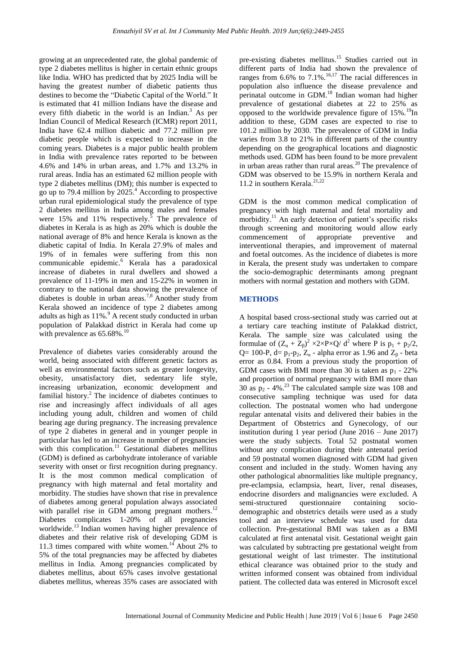growing at an unprecedented rate, the global pandemic of type 2 diabetes mellitus is higher in certain ethnic groups like India. WHO has predicted that by 2025 India will be having the greatest number of diabetic patients thus destines to become the "Diabetic Capital of the World." It is estimated that 41 million Indians have the disease and every fifth diabetic in the world is an Indian.<sup>3</sup> As per Indian Council of Medical Research (ICMR) report 2011, India have 62.4 million diabetic and 77.2 million pre diabetic people which is expected to increase in the coming years. Diabetes is a major public health problem in India with prevalence rates reported to be between 4.6% and 14% in urban areas, and 1.7% and 13.2% in rural areas. India has an estimated 62 million people with type 2 diabetes mellitus (DM); this number is expected to go up to 79.4 million by  $2025<sup>4</sup>$  According to prospective urban rural epidemiological study the prevalence of type 2 diabetes mellitus in India among males and females were 15% and 11% respectively.<sup>5</sup> The prevalence of diabetes in Kerala is as high as 20% which is double the national average of 8% and hence Kerala is known as the diabetic capital of India. In Kerala 27.9% of males and 19% of in females were suffering from this non communicable epidemic.<sup>6</sup> Kerala has a paradoxical increase of diabetes in rural dwellers and showed a prevalence of 11-19% in men and 15-22% in women in contrary to the national data showing the prevalence of diabetes is double in urban areas.<sup>7,8</sup> Another study from Kerala showed an incidence of type 2 diabetes among adults as high as  $11\%$ . A recent study conducted in urban population of Palakkad district in Kerala had come up with prevalence as  $65.68\%$ .<sup>10</sup>

Prevalence of diabetes varies considerably around the world, being associated with different genetic factors as well as environmental factors such as greater longevity, obesity, unsatisfactory diet, sedentary life style, increasing urbanization, economic development and familial history. $^{2}$  The incidence of diabetes continues to rise and increasingly affect individuals of all ages including young adult, children and women of child bearing age during pregnancy. The increasing prevalence of type 2 diabetes in general and in younger people in particular has led to an increase in number of pregnancies with this complication. $11$  Gestational diabetes mellitus (GDM) is defined as carbohydrate intolerance of variable severity with onset or first recognition during pregnancy. It is the most common medical complication of pregnancy with high maternal and fetal mortality and morbidity. The studies have shown that rise in prevalence of diabetes among general population always associated with parallel rise in GDM among pregnant mothers.<sup>12</sup> Diabetes complicates 1-20% of all pregnancies worldwide.<sup>13</sup> Indian women having higher prevalence of diabetes and their relative risk of developing GDM is 11.3 times compared with white women.<sup>14</sup> About 2% to 5% of the total pregnancies may be affected by diabetes mellitus in India. Among pregnancies complicated by diabetes mellitus, about 65% cases involve gestational diabetes mellitus, whereas 35% cases are associated with

pre-existing diabetes mellitus.<sup>15</sup> Studies carried out in different parts of India had shown the prevalence of ranges from 6.6% to 7.1%.<sup>16,17</sup> The racial differences in population also influence the disease prevalence and perinatal outcome in GDM.<sup>18</sup> Indian woman had higher prevalence of gestational diabetes at 22 to 25% as opposed to the worldwide prevalence figure of  $15\%$ .<sup>19</sup>In addition to these, GDM cases are expected to rise to 101.2 million by 2030. The prevalence of GDM in India varies from 3.8 to 21% in different parts of the country depending on the geographical locations and diagnostic methods used. GDM has been found to be more prevalent in urban areas rather than rural areas.<sup>20</sup> The prevalence of GDM was observed to be 15.9% in northern Kerala and 11.2 in southern Kerala. $21,22$ 

GDM is the most common medical complication of pregnancy with high maternal and fetal mortality and morbidity.<sup>11</sup> An early detection of patient's specific risks through screening and monitoring would allow early commencement of appropriate preventive and interventional therapies, and improvement of maternal and foetal outcomes. As the incidence of diabetes is more in Kerala, the present study was undertaken to compare the socio-demographic determinants among pregnant mothers with normal gestation and mothers with GDM.

# **METHODS**

A hospital based cross-sectional study was carried out at a tertiary care teaching institute of Palakkad district, Kerala. The sample size was calculated using the formulae of  $(Z_\alpha + Z_\beta)^2 \times 2 \times P \times Q / d^2$  where P is  $p_1 + p_2/2$ , Q= 100-P, d=  $p_1$ - $p_2$ ,  $Z_\alpha$  - alpha error as 1.96 and  $Z_\beta$  - beta error as 0.84. From a previous study the proportion of GDM cases with BMI more than 30 is taken as  $p_1 - 22\%$ and proportion of normal pregnancy with BMI more than 30 as  $p_2$  - 4%.<sup>23</sup> The calculated sample size was 108 and consecutive sampling technique was used for data collection. The postnatal women who had undergone regular antenatal visits and delivered their babies in the Department of Obstetrics and Gynecology, of our institution during 1 year period (June 2016 – June 2017) were the study subjects. Total 52 postnatal women without any complication during their antenatal period and 59 postnatal women diagnosed with GDM had given consent and included in the study. Women having any other pathological abnormalities like multiple pregnancy, pre-eclampsia, eclampsia, heart, liver, renal diseases, endocrine disorders and malignancies were excluded. A semi-structured questionnaire containing sociodemographic and obstetrics details were used as a study tool and an interview schedule was used for data collection. Pre-gestational BMI was taken as a BMI calculated at first antenatal visit. Gestational weight gain was calculated by subtracting pre gestational weight from gestational weight of last trimester. The institutional ethical clearance was obtained prior to the study and written informed consent was obtained from individual patient. The collected data was entered in Microsoft excel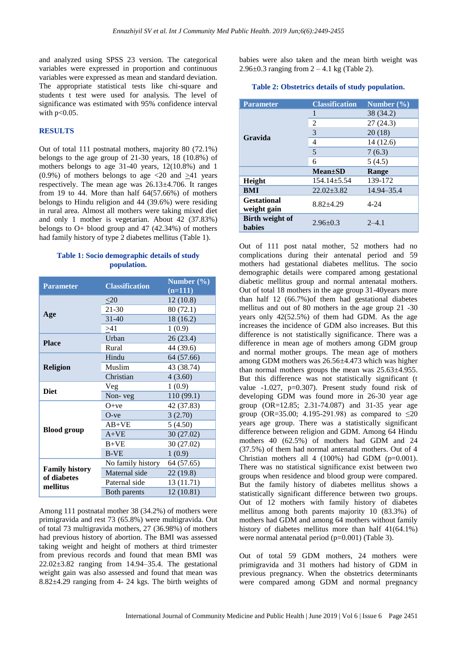and analyzed using SPSS 23 version. The categorical variables were expressed in proportion and continuous variables were expressed as mean and standard deviation. The appropriate statistical tests like chi-square and students t test were used for analysis. The level of significance was estimated with 95% confidence interval with  $p<0.05$ .

#### **RESULTS**

Out of total 111 postnatal mothers, majority 80 (72.1%) belongs to the age group of 21-30 years, 18 (10.8%) of mothers belongs to age 31-40 years, 12(10.8%) and 1 (0.9%) of mothers belongs to age  $\langle 20 \text{ and } \rangle 41$  years respectively. The mean age was 26.13±4.706. It ranges from 19 to 44. More than half 64(57.66%) of mothers belongs to Hindu religion and 44 (39.6%) were residing in rural area. Almost all mothers were taking mixed diet and only 1 mother is vegetarian. About 42 (37.83%) belongs to  $O+$  blood group and 47 (42.34%) of mothers had family history of type 2 diabetes mellitus (Table 1).

# **Table 1: Socio demographic details of study population.**

| <b>Parameter</b>                                 | <b>Classification</b> | Number $(\frac{0}{0})$<br>$(n=111)$ |
|--------------------------------------------------|-----------------------|-------------------------------------|
| Age                                              | $\leq 20$             | 12(10.8)                            |
|                                                  | 21-30                 | 80(72.1)                            |
|                                                  | $31 - 40$             | 18 (16.2)                           |
|                                                  | >41                   | 1(0.9)                              |
| <b>Place</b>                                     | Urban                 | 26(23.4)                            |
|                                                  | Rural                 | 44 (39.6)                           |
| <b>Religion</b>                                  | Hindu                 | 64 (57.66)                          |
|                                                  | Muslim                | 43 (38.74)                          |
|                                                  | Christian             | 4(3.60)                             |
| <b>Diet</b>                                      | Veg                   | 1(0.9)                              |
|                                                  | Non-veg               | 110 (99.1)                          |
|                                                  | $O+ve$                | 42 (37.83)                          |
|                                                  | $O$ -ve               | 3(2.70)                             |
|                                                  | $AB+VE$               | 5(4.50)                             |
| <b>Blood</b> group                               | $A+VE$                | 30 (27.02)                          |
|                                                  | $B+VE$                | 30 (27.02)                          |
|                                                  | <b>B-VE</b>           | 1(0.9)                              |
| <b>Family history</b><br>of diabetes<br>mellitus | No family history     | 64 (57.65)                          |
|                                                  | Maternal side         | 22(19.8)                            |
|                                                  | Paternal side         | 13 (11.71)                          |
|                                                  | Both parents          | 12 (10.81)                          |

Among 111 postnatal mother 38 (34.2%) of mothers were primigravida and rest 73 (65.8%) were multigravida. Out of total 73 multigravida mothers, 27 (36.98%) of mothers had previous history of abortion. The BMI was assessed taking weight and height of mothers at third trimester from previous records and found that mean BMI was 22.02±3.82 ranging from 14.94–35.4. The gestational weight gain was also assessed and found that mean was 8.82±4.29 ranging from 4- 24 kgs. The birth weights of babies were also taken and the mean birth weight was 2.96 $\pm$ 0.3 ranging from 2 – 4.1 kg (Table 2).

#### **Table 2: Obstetrics details of study population.**

| <b>Parameter</b>                  | <b>Classification</b> | Number $(\% )$ |
|-----------------------------------|-----------------------|----------------|
| Gravida                           | 1                     | 38 (34.2)      |
|                                   | 2                     | 27(24.3)       |
|                                   | 3                     | 20(18)         |
|                                   | 4                     | 14 (12.6)      |
|                                   | 5                     | 7(6.3)         |
|                                   | 6                     | 5(4.5)         |
|                                   | $Mean \pm SD$         | Range          |
| Height                            | $154.14 \pm 5.54$     | 139-172        |
| <b>BMI</b>                        | $22.02 + 3.82$        | 14.94–35.4     |
| <b>Gestational</b><br>weight gain | $8.82 + 4.29$         | $4 - 24$       |
| Birth weight of<br><b>babies</b>  | $2.96 \pm 0.3$        | $2 - 4.1$      |

Out of 111 post natal mother, 52 mothers had no complications during their antenatal period and 59 mothers had gestational diabetes mellitus. The socio demographic details were compared among gestational diabetic mellitus group and normal antenatal mothers. Out of total 18 mothers in the age group 31-40years more than half 12 (66.7%)of them had gestational diabetes mellitus and out of 80 mothers in the age group 21 -30 years only 42(52.5%) of them had GDM. As the age increases the incidence of GDM also increases. But this difference is not statistically significance. There was a difference in mean age of mothers among GDM group and normal mother groups. The mean age of mothers among GDM mothers was 26.56±4.473 which was higher than normal mothers groups the mean was 25.63±4.955. But this difference was not statistically significant (t value -1.027, p=0.307). Present study found risk of developing GDM was found more in 26-30 year age group (OR=12.85; 2.31-74.087) and 31-35 year age group (OR=35.00; 4.195-291.98) as compared to  $\leq 20$ years age group. There was a statistically significant difference between religion and GDM. Among 64 Hindu mothers 40 (62.5%) of mothers had GDM and 24 (37.5%) of them had normal antenatal mothers. Out of 4 Christian mothers all 4 (100%) had GDM (p=0.001). There was no statistical significance exist between two groups when residence and blood group were compared. But the family history of diabetes mellitus shows a statistically significant difference between two groups. Out of 12 mothers with family history of diabetes mellitus among both parents majority 10 (83.3%) of mothers had GDM and among 64 mothers without family history of diabetes mellitus more than half  $41(64.1\%)$ were normal antenatal period (p=0.001) (Table 3).

Out of total 59 GDM mothers, 24 mothers were primigravida and 31 mothers had history of GDM in previous pregnancy. When the obstetrics determinants were compared among GDM and normal pregnancy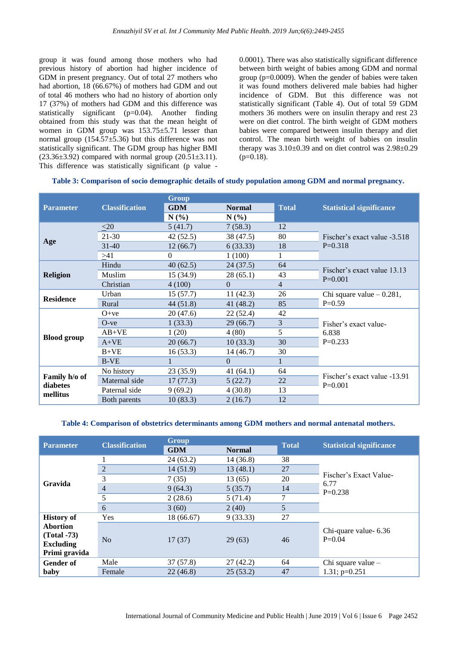group it was found among those mothers who had previous history of abortion had higher incidence of GDM in present pregnancy. Out of total 27 mothers who had abortion, 18 (66.67%) of mothers had GDM and out of total 46 mothers who had no history of abortion only 17 (37%) of mothers had GDM and this difference was statistically significant (p=0.04). Another finding obtained from this study was that the mean height of women in GDM group was  $153.75 \pm 5.71$  lesser than normal group  $(154.57\pm5.36)$  but this difference was not statistically significant. The GDM group has higher BMI  $(23.36\pm3.92)$  compared with normal group  $(20.51\pm3.11)$ . This difference was statistically significant (p value -

0.0001). There was also statistically significant difference between birth weight of babies among GDM and normal group ( $p=0.0009$ ). When the gender of babies were taken it was found mothers delivered male babies had higher incidence of GDM. But this difference was not statistically significant (Table 4). Out of total 59 GDM mothers 36 mothers were on insulin therapy and rest 23 were on diet control. The birth weight of GDM mothers babies were compared between insulin therapy and diet control. The mean birth weight of babies on insulin therapy was  $3.10\pm0.39$  and on diet control was  $2.98\pm0.29$  $(p=0.18)$ .

#### **Table 3: Comparison of socio demographic details of study population among GDM and normal pregnancy.**

|                                       |                       | Group      |               |                |                                           |
|---------------------------------------|-----------------------|------------|---------------|----------------|-------------------------------------------|
| <b>Parameter</b>                      | <b>Classification</b> | <b>GDM</b> | <b>Normal</b> | <b>Total</b>   | <b>Statistical significance</b>           |
|                                       |                       | $N(\%)$    | $N(\%)$       |                |                                           |
| Age                                   | $<$ 20                | 5(41.7)    | 7(58.3)       | 12             | Fischer's exact value -3.518<br>$P=0.318$ |
|                                       | $21 - 30$             | 42 (52.5)  | 38 (47.5)     | 80             |                                           |
|                                       | $31-40$               | 12(66.7)   | 6(33.33)      | 18             |                                           |
|                                       | >41                   | $\Omega$   | 1(100)        | 1              |                                           |
| <b>Religion</b>                       | Hindu                 | 40(62.5)   | 24(37.5)      | 64             | Fischer's exact value 13.13<br>$P=0.001$  |
|                                       | Muslim                | 15 (34.9)  | 28 (65.1)     | 43             |                                           |
|                                       | Christian             | 4(100)     | $\Omega$      | $\overline{4}$ |                                           |
| <b>Residence</b>                      | Urban                 | 15(57.7)   | 11(42.3)      | 26             | Chi square value $-0.281$ ,<br>$P=0.59$   |
|                                       | Rural                 | 44(51.8)   | 41(48.2)      | 85             |                                           |
|                                       | $O+ve$                | 20(47.6)   | 22(52.4)      | 42             |                                           |
|                                       | $O$ -ve               | 1(33.3)    | 29(66.7)      | 3              | Fisher's exact value-                     |
|                                       | $AB+VE$               | 1(20)      | 4(80)         | 5              | 6.838                                     |
| <b>Blood</b> group                    | $A+VE$                | 20(66.7)   | 10(33.3)      | 30             | $P=0.233$                                 |
|                                       | $B+VE$                | 16(53.3)   | 14(46.7)      | 30             |                                           |
|                                       | <b>B-VE</b>           |            | $\Omega$      | 1              |                                           |
| Family h/o of<br>diabetes<br>mellitus | No history            | 23 (35.9)  | 41(64.1)      | 64             | Fischer's exact value -13.91<br>$P=0.001$ |
|                                       | Maternal side         | 17(77.3)   | 5(22.7)       | 22             |                                           |
|                                       | Paternal side         | 9(69.2)    | 4(30.8)       | 13             |                                           |
|                                       | Both parents          | 10(83.3)   | 2(16.7)       | 12             |                                           |

#### **Table 4: Comparison of obstetrics determinants among GDM mothers and normal antenatal mothers.**

| <b>Parameter</b>  | <b>Classification</b> | <b>Group</b> |               | <b>Total</b> |                                             |
|-------------------|-----------------------|--------------|---------------|--------------|---------------------------------------------|
|                   |                       | <b>GDM</b>   | <b>Normal</b> |              | <b>Statistical significance</b>             |
| Gravida           |                       | 24(63.2)     | 14 (36.8)     | 38           |                                             |
|                   | 2                     | 14(51.9)     | 13(48.1)      | 27           |                                             |
|                   | 3                     | 7(35)        | 13(65)        | 20           | Fischer's Exact Value-<br>6.77<br>$P=0.238$ |
|                   | $\overline{4}$        | 9(64.3)      | 5(35.7)       | 14           |                                             |
|                   | 5                     | 2(28.6)      | 5(71.4)       | 7            |                                             |
|                   | 6                     | 3(60)        | 2(40)         | 5            |                                             |
| <b>History of</b> | Yes                   | 18 (66.67)   | 9(33.33)      | 27           |                                             |
| <b>Abortion</b>   |                       |              |               |              | Chi-quare value- 6.36                       |
| $(Total - 73)$    | No                    | 17(37)       | 29(63)        | 46           | $P=0.04$                                    |
| <b>Excluding</b>  |                       |              |               |              |                                             |
| Primi gravida     |                       |              |               |              |                                             |
| <b>Gender of</b>  | Male                  | 37(57.8)     | 27(42.2)      | 64           | Chi square value –                          |
| baby              | Female                | 22(46.8)     | 25(53.2)      | 47           | $1.31$ ; p=0.251                            |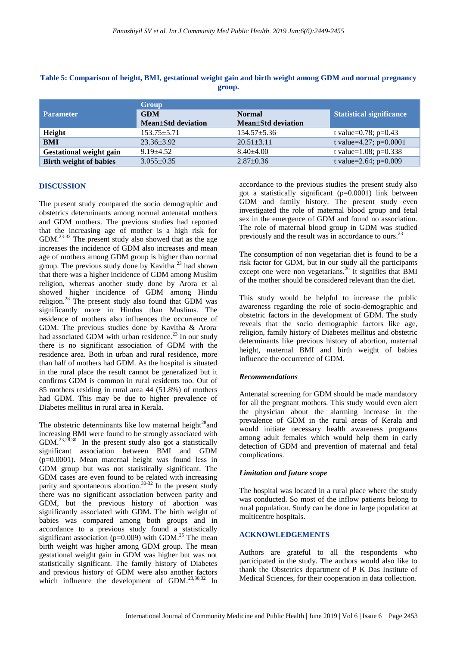|                                | Group              |                    |                                 |
|--------------------------------|--------------------|--------------------|---------------------------------|
| <b>Parameter</b>               | <b>GDM</b>         | <b>Normal</b>      | <b>Statistical significance</b> |
|                                | Mean+Std deviation | Mean±Std deviation |                                 |
| Height                         | $153.75 + 5.71$    | $154.57 \pm 5.36$  | t value=0.78; $p=0.43$          |
| <b>BMI</b>                     | $23.36 \pm 3.92$   | $20.51 \pm 3.11$   | t value=4.27; $p=0.0001$        |
| <b>Gestational weight gain</b> | $9.19 + 4.52$      | $8.40 \pm 4.00$    | t value= $1.08$ ; p= $0.338$    |
| <b>Birth weight of babies</b>  | $3.055 \pm 0.35$   | $2.87 \pm 0.36$    | t value= $2.64$ ; p= $0.009$    |

# **Table 5: Comparison of height, BMI, gestational weight gain and birth weight among GDM and normal pregnancy group.**

#### **DISCUSSION**

The present study compared the socio demographic and obstetrics determinants among normal antenatal mothers and GDM mothers. The previous studies had reported that the increasing age of mother is a high risk for GDM.<sup>23-32</sup> The present study also showed that as the age increases the incidence of GDM also increases and mean age of mothers among GDM group is higher than normal group. The previous study done by Kavitha <sup>23</sup> had shown that there was a higher incidence of GDM among Muslim religion, whereas another study done by Arora et al showed higher incidence of GDM among Hindu religion.<sup>28</sup> The present study also found that GDM was significantly more in Hindus than Muslims. The residence of mothers also influences the occurrence of GDM. The previous studies done by Kavitha & Arora. had associated GDM with urban residence.<sup>23</sup> In our study there is no significant association of GDM with the residence area. Both in urban and rural residence, more than half of mothers had GDM. As the hospital is situated in the rural place the result cannot be generalized but it confirms GDM is common in rural residents too. Out of 85 mothers residing in rural area 44 (51.8%) of mothers had GDM. This may be due to higher prevalence of Diabetes mellitus in rural area in Kerala.

The obstetric determinants like low maternal height $28$ and increasing BMI were found to be strongly associated with GDM.<sup>23,28,30</sup> In the present study also got a statistically significant association between BMI and GDM (p=0.0001). Mean maternal height was found less in GDM group but was not statistically significant. The GDM cases are even found to be related with increasing parity and spontaneous abortion.<sup>30-32</sup> In the present study there was no significant association between parity and GDM, but the previous history of abortion was significantly associated with GDM. The birth weight of babies was compared among both groups and in accordance to a previous study found a statistically significant association ( $p=0.009$ ) with GDM.<sup>25</sup> The mean birth weight was higher among GDM group. The mean gestational weight gain in GDM was higher but was not statistically significant. The family history of Diabetes and previous history of GDM were also another factors which influence the development of GDM.<sup>23,30,32</sup> In

accordance to the previous studies the present study also got a statistically significant (p=0.0001) link between GDM and family history. The present study even investigated the role of maternal blood group and fetal sex in the emergence of GDM and found no association. The role of maternal blood group in GDM was studied previously and the result was in accordance to ours.<sup>23</sup>

The consumption of non vegetarian diet is found to be a risk factor for GDM, but in our study all the participants except one were non vegetarians.<sup>26</sup> It signifies that BMI of the mother should be considered relevant than the diet.

This study would be helpful to increase the public awareness regarding the role of socio-demographic and obstetric factors in the development of GDM. The study reveals that the socio demographic factors like age, religion, family history of Diabetes mellitus and obstetric determinants like previous history of abortion, maternal height, maternal BMI and birth weight of babies influence the occurrence of GDM.

#### *Recommendations*

Antenatal screening for GDM should be made mandatory for all the pregnant mothers. This study would even alert the physician about the alarming increase in the prevalence of GDM in the rural areas of Kerala and would initiate necessary health awareness programs among adult females which would help them in early detection of GDM and prevention of maternal and fetal complications.

#### *Limitation and future scope*

The hospital was located in a rural place where the study was conducted. So most of the inflow patients belong to rural population. Study can be done in large population at multicentre hospitals.

#### **ACKNOWLEDGEMENTS**

Authors are grateful to all the respondents who participated in the study. The authors would also like to thank the Obstetrics department of P K Das Institute of Medical Sciences, for their cooperation in data collection.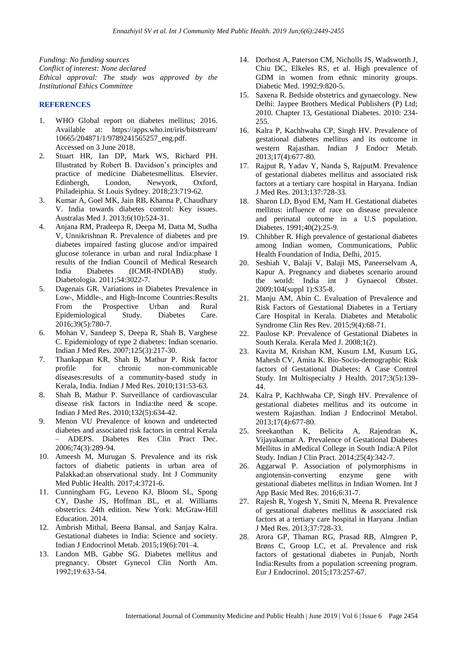*Funding: No funding sources Conflict of interest: None declared Ethical approval: The study was approved by the Institutional Ethics Committee*

#### **REFERENCES**

- 1. WHO Global report on diabetes mellitus; 2016. Available at: https://apps.who.int/iris/bitstream/ 10665/204871/1/9789241565257\_eng.pdf. Accessed on 3 June 2018.
- 2. Stuart HR, Ian DP, Mark WS, Richard PH. Illustrated by Robert B. Davidson's principles and practice of medicine Diabetesmellitus. Elsevier. Edinbergh, London, Newyork, Oxford, Philadeiphia. St Louis Sydney. 2018;23:719-62.
- 3. Kumar A, Goel MK, Jain RB, Khanna P, Chaudhary V. India towards diabetes control: Key issues. Australas Med J. 2013;6(10):524-31.
- 4. Anjana RM, Pradeepa R, Deepa M, Datta M, Sudha V, Unnikrishnan R. Prevalence of diabetes and pre diabetes impaired fasting glucose and/or impaired glucose tolerance in urban and rural India:phase I results of the Indian Council of Medical Research India Diabetes (ICMR-INDIAB) study. Diabetologia. 2011;54:3022-7.
- 5. Dagenais GR. Variations in Diabetes Prevalence in Low-, Middle-, and High-Income Countries:Results From the Prospective Urban and Rural Epidemiological Study. Diabetes Care. 2016;39(5):780-7.
- 6. Mohan V, Sandeep S, Deepa R, Shah B, Varghese C. Epidemiology of type 2 diabetes: Indian scenario. Indian J Med Res. 2007;125(3):217-30.
- 7. Thankappan KR, Shah B, Mathur P. Risk factor profile for chronic non-communicable diseases:results of a community-based study in Kerala, India. Indian J Med Res. 2010;131:53-63.
- 8. Shah B, Mathur P. Surveillance of cardiovascular disease risk factors in India:the need & scope. Indian J Med Res. 2010;132(5):634-42.
- 9. Menon VU Prevalence of known and undetected diabetes and associated risk factors in central Kerala – ADEPS. Diabetes Res Clin Pract Dec. 2006;74(3):289-94.
- 10. Ameesh M, Murugan S. Prevalence and its risk factors of diabetic patients in urban area of Palakkad:an observational study. Int J Community Med Public Health. 2017;4:3721-6.
- 11. Cunningham FG, Leveno KJ, Bloom SL, Spong CY, Dashe JS, Hoffman BL, et al. Williams obstetrics. 24th edition. New York: McGraw-Hill Education. 2014.
- 12. Ambrish Mithal, Beena Bansal, and Sanjay Kalra. Gestational diabetes in India: Science and society. Indian J Endocrinol Metab. 2015;19(6):701–4.
- 13. Landon MB, Gabbe SG. Diabetes mellitus and pregnancy. Obstet Gynecol Clin North Am. 1992;19:633-54.
- 14. Dorhost A, Paterson CM, Nicholls JS, Wadsworth J, Chiu DC, Elkeles RS, et al. High prevalence of GDM in women from ethnic minority groups. Diabetic Med. 1992;9:820-5.
- 15. Saxena R. Bedside obstetrics and gynaecology. New Delhi: Jaypee Brothers Medical Publishers (P) Ltd; 2010. Chapter 13, Gestational Diabetes. 2010: 234- 255.
- 16. Kalra P, Kachhwaha CP, Singh HV. Prevalence of gestational diabetes mellitus and its outcome in western Rajasthan. Indian J Endocr Metab. 2013;17(4):677-80.
- 17. Rajput R, Yadav Y, Nanda S, RajputM. Prevalence of gestational diabetes mellitus and associated risk factors at a tertiary care hospital in Haryana. Indian J Med Res. 2013;137:728-33.
- 18. Sharon LD, Byod EM, Nam H. Gestational diabetes mellitus: influence of race on disease prevalence and perinatal outcome in a U.S population. Diabetes. 1991;40(2):25-9.
- 19. Chhibber R. High prevalence of gestational diabetes among Indian women, Communications, Public Health Foundation of India, Delhi, 2015.
- 20. Seshiah V, Balaji V, Balaji MS, Paneerselvam A, Kapur A. Pregnancy and diabetes scenario around the world: India int J Gynaecol Obstet. 2009;104(suppl 1):S35-8.
- 21. Manju AM, Abin C. Evaluation of Prevalence and Risk Factors of Gestational Diabetes in a Tertiary Care Hospital in Kerala. Diabetes and Metabolic Syndrome Clin Res Rev. 2015;9(4):68-71.
- 22. Paulose KP. Prevalence of Gestational Diabetes in South Kerala. Kerala Med J. 2008;1(2).
- 23. Kavita M, Krishan KM, Kusum LM, Kusum LG, Mahesh CV, Amita K. Bio-Socio-demographic Risk factors of Gestational Diabetes: A Case Control Study. Int Multispecialty J Health. 2017;3(5):139- 44.
- 24. Kalra P, Kachhwaha CP, Singh HV. Prevalence of gestational diabetes mellitus and its outcome in western Rajasthan. Indian J Endocrinol Metabol. 2013;17(4):677-80.
- 25. Sreekanthan K, Belicita A, Rajendran K, Vijayakumar A. Prevalence of Gestational Diabetes Mellitus in aMedical College in South India:A Pilot Study. Indian J Clin Pract. 2014;25(4):342-7.
- 26. Aggarwal P. Association of polymorphisms in angiotensin-converting enzyme gene with gestational diabetes mellitus in Indian Women. Int J App Basic Med Res. 2016;6:31-7.
- 27. Rajesh R, Yogesh Y, Smiti N, Meena R. Prevalence of gestational diabetes mellitus & associated risk factors at a tertiary care hospital in Haryana .Indian J Med Res. 2013;37:728-33.
- 28. Arora GP, Thaman RG, Prasad RB, Almgren P, Brøns C, Groop LC, et al. Prevalence and risk factors of gestational diabetes in Punjab, North India:Results from a population screening program. Eur J Endocrinol. 2015;173:257-67.